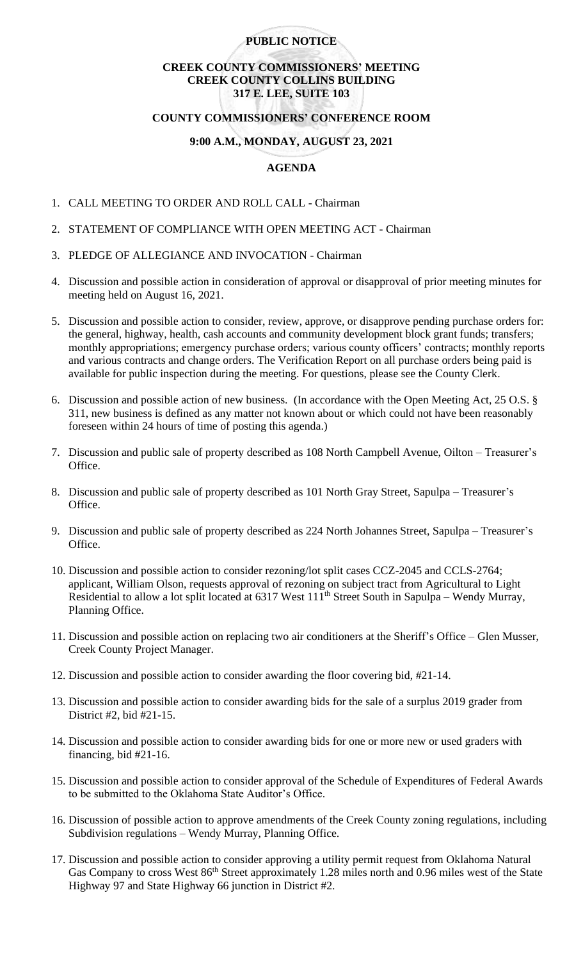## **PUBLIC NOTICE**

# **CREEK COUNTY COMMISSIONERS' MEETING CREEK COUNTY COLLINS BUILDING 317 E. LEE, SUITE 103**

## **COUNTY COMMISSIONERS' CONFERENCE ROOM**

## **9:00 A.M., MONDAY, AUGUST 23, 2021**

## **AGENDA**

- 1. CALL MEETING TO ORDER AND ROLL CALL Chairman
- 2. STATEMENT OF COMPLIANCE WITH OPEN MEETING ACT Chairman
- 3. PLEDGE OF ALLEGIANCE AND INVOCATION Chairman
- 4. Discussion and possible action in consideration of approval or disapproval of prior meeting minutes for meeting held on August 16, 2021.
- 5. Discussion and possible action to consider, review, approve, or disapprove pending purchase orders for: the general, highway, health, cash accounts and community development block grant funds; transfers; monthly appropriations; emergency purchase orders; various county officers' contracts; monthly reports and various contracts and change orders. The Verification Report on all purchase orders being paid is available for public inspection during the meeting. For questions, please see the County Clerk.
- 6. Discussion and possible action of new business. (In accordance with the Open Meeting Act, 25 O.S. § 311, new business is defined as any matter not known about or which could not have been reasonably foreseen within 24 hours of time of posting this agenda.)
- 7. Discussion and public sale of property described as 108 North Campbell Avenue, Oilton Treasurer's Office.
- 8. Discussion and public sale of property described as 101 North Gray Street, Sapulpa Treasurer's Office.
- 9. Discussion and public sale of property described as 224 North Johannes Street, Sapulpa Treasurer's Office.
- 10. Discussion and possible action to consider rezoning/lot split cases CCZ-2045 and CCLS-2764; applicant, William Olson, requests approval of rezoning on subject tract from Agricultural to Light Residential to allow a lot split located at 6317 West 111<sup>th</sup> Street South in Sapulpa – Wendy Murray, Planning Office.
- 11. Discussion and possible action on replacing two air conditioners at the Sheriff's Office Glen Musser, Creek County Project Manager.
- 12. Discussion and possible action to consider awarding the floor covering bid, #21-14.
- 13. Discussion and possible action to consider awarding bids for the sale of a surplus 2019 grader from District #2, bid #21-15.
- 14. Discussion and possible action to consider awarding bids for one or more new or used graders with financing, bid #21-16.
- 15. Discussion and possible action to consider approval of the Schedule of Expenditures of Federal Awards to be submitted to the Oklahoma State Auditor's Office.
- 16. Discussion of possible action to approve amendments of the Creek County zoning regulations, including Subdivision regulations – Wendy Murray, Planning Office.
- 17. Discussion and possible action to consider approving a utility permit request from Oklahoma Natural Gas Company to cross West 86<sup>th</sup> Street approximately 1.28 miles north and 0.96 miles west of the State Highway 97 and State Highway 66 junction in District #2.